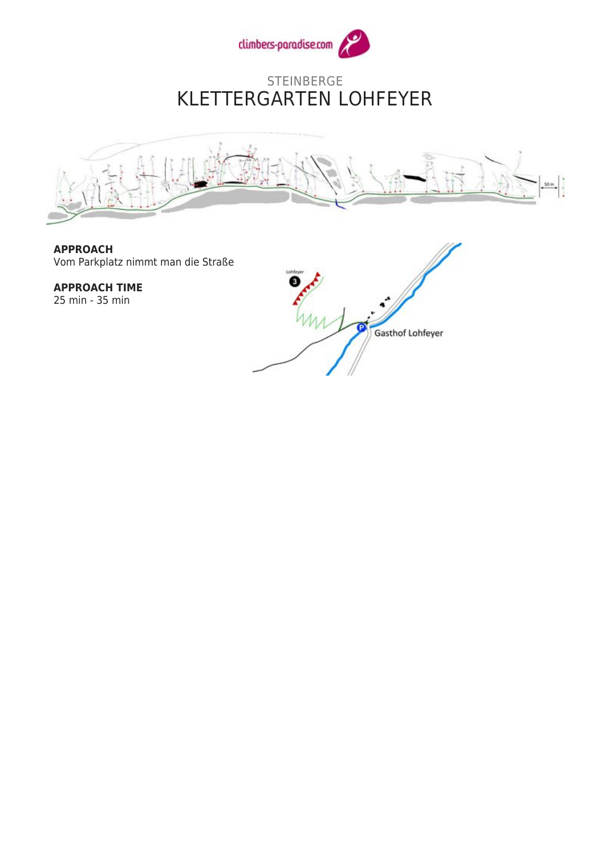

#### STEINBERGE KLETTERGARTEN LOHFEYER



**APPROACH** Vom Parkplatz nimmt man die Straße

**APPROACH TIME** 25 min - 35 min

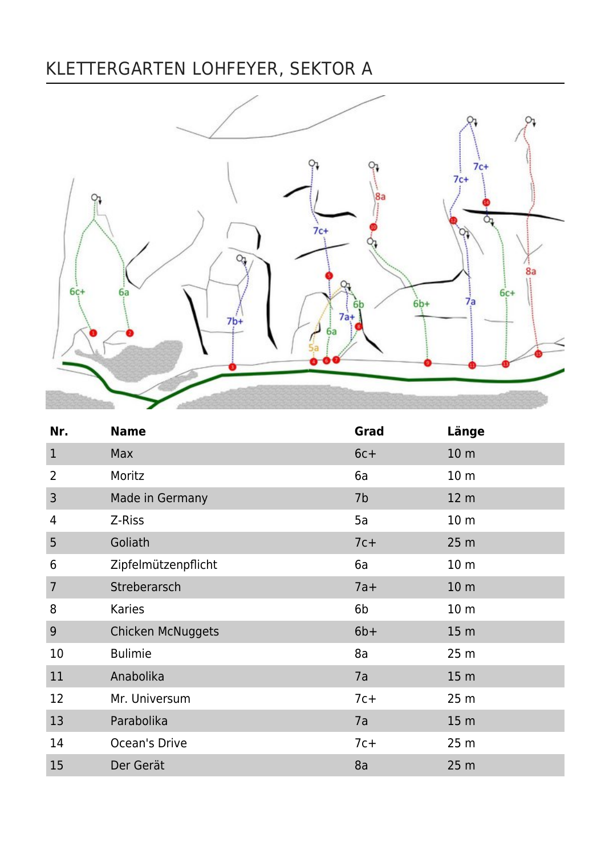# KLETTERGARTEN LOHFEYER, SEKTOR A



| Nr.            | <b>Name</b>              | Grad   | Länge           |
|----------------|--------------------------|--------|-----------------|
| $\mathbf{1}$   | Max                      | $6c +$ | 10 <sub>m</sub> |
| $\overline{2}$ | Moritz                   | 6a     | 10 <sub>m</sub> |
| 3              | Made in Germany          | 7b     | 12 <sub>m</sub> |
| 4              | Z-Riss                   | 5a     | 10 <sub>m</sub> |
| 5              | Goliath                  | $7c+$  | 25 <sub>m</sub> |
| 6              | Zipfelmützenpflicht      | 6a     | 10 <sub>m</sub> |
| 7              | Streberarsch             | $7a+$  | 10 <sub>m</sub> |
| 8              | Karies                   | 6b     | 10 <sub>m</sub> |
| 9              | <b>Chicken McNuggets</b> | $6b+$  | 15 <sub>m</sub> |
| 10             | <b>Bulimie</b>           | 8a     | 25 <sub>m</sub> |
| 11             | Anabolika                | 7a     | 15 <sub>m</sub> |
| 12             | Mr. Universum            | $7c+$  | 25 m            |
| 13             | Parabolika               | 7a     | 15 <sub>m</sub> |
| 14             | Ocean's Drive            | $7c+$  | 25 <sub>m</sub> |
| 15             | Der Gerät                | 8a     | 25 <sub>m</sub> |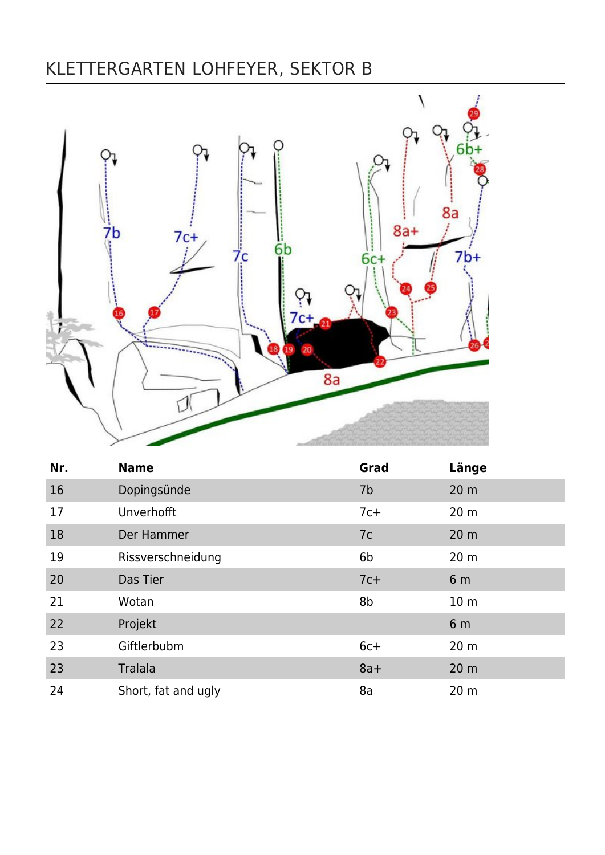### KLETTERGARTEN LOHFEYER, SEKTOR B



| Nr. | <b>Name</b>         | Grad  | Länge           |
|-----|---------------------|-------|-----------------|
| 16  | Dopingsünde         | 7b    | 20 <sub>m</sub> |
| 17  | Unverhofft          | $7c+$ | 20 <sub>m</sub> |
| 18  | Der Hammer          | 7c    | 20 <sub>m</sub> |
| 19  | Rissverschneidung   | 6b    | 20 <sub>m</sub> |
| 20  | Das Tier            | $7c+$ | 6 <sub>m</sub>  |
| 21  | Wotan               | 8b    | 10 <sub>m</sub> |
| 22  | Projekt             |       | 6 <sub>m</sub>  |
| 23  | Giftlerbubm         | $6c+$ | 20 <sub>m</sub> |
| 23  | Tralala             | $8a+$ | 20 <sub>m</sub> |
| 24  | Short, fat and ugly | 8a    | 20 <sub>m</sub> |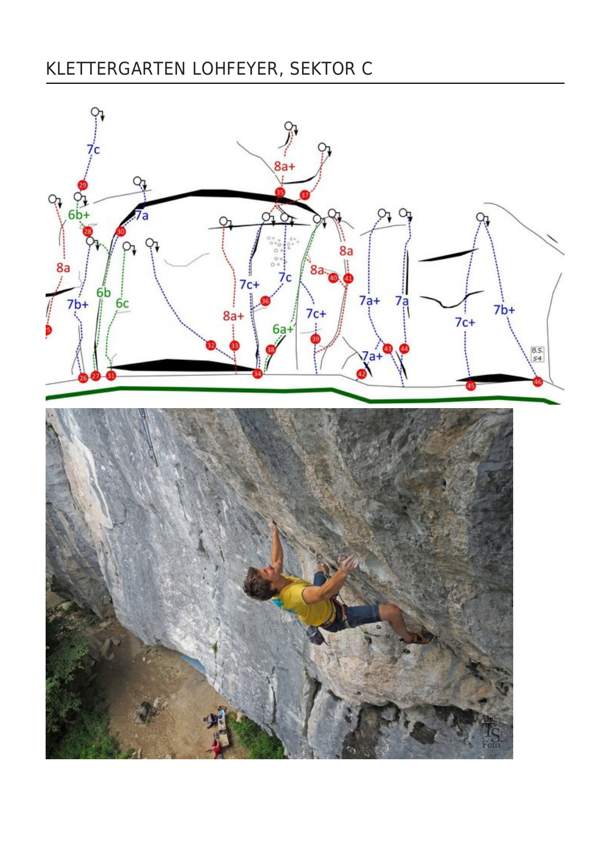### KLETTERGARTEN LOHFEYER, SEKTOR C

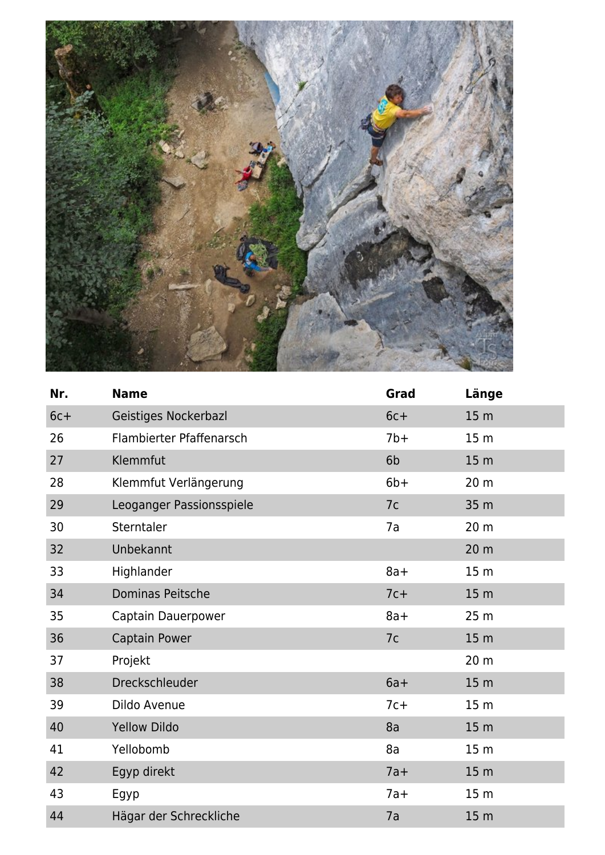

| Nr.    | <b>Name</b>              | Grad   | Länge           |
|--------|--------------------------|--------|-----------------|
| $6c +$ | Geistiges Nockerbazl     | $6c +$ | 15 <sub>m</sub> |
| 26     | Flambierter Pfaffenarsch | $7b+$  | 15 <sub>m</sub> |
| 27     | Klemmfut                 | 6b     | 15 <sub>m</sub> |
| 28     | Klemmfut Verlängerung    | $6b+$  | 20 m            |
| 29     | Leoganger Passionsspiele | 7c     | 35 m            |
| 30     | Sterntaler               | 7a     | 20 <sub>m</sub> |
| 32     | Unbekannt                |        | 20 <sub>m</sub> |
| 33     | Highlander               | $8a+$  | 15 <sub>m</sub> |
| 34     | Dominas Peitsche         | $7c+$  | 15 <sub>m</sub> |
| 35     | Captain Dauerpower       | $8a+$  | 25 <sub>m</sub> |
| 36     | <b>Captain Power</b>     | 7c     | 15 <sub>m</sub> |
| 37     | Projekt                  |        | 20 m            |
| 38     | Dreckschleuder           | $6a+$  | 15 <sub>m</sub> |
| 39     | Dildo Avenue             | $7c+$  | 15 <sub>m</sub> |
| 40     | <b>Yellow Dildo</b>      | 8a     | 15 <sub>m</sub> |
| 41     | Yellobomb                | 8a     | 15 <sub>m</sub> |
| 42     | Egyp direkt              | $7a+$  | 15 <sub>m</sub> |
| 43     | Egyp                     | $7a+$  | 15 <sub>m</sub> |
| 44     | Hägar der Schreckliche   | 7a     | 15 <sub>m</sub> |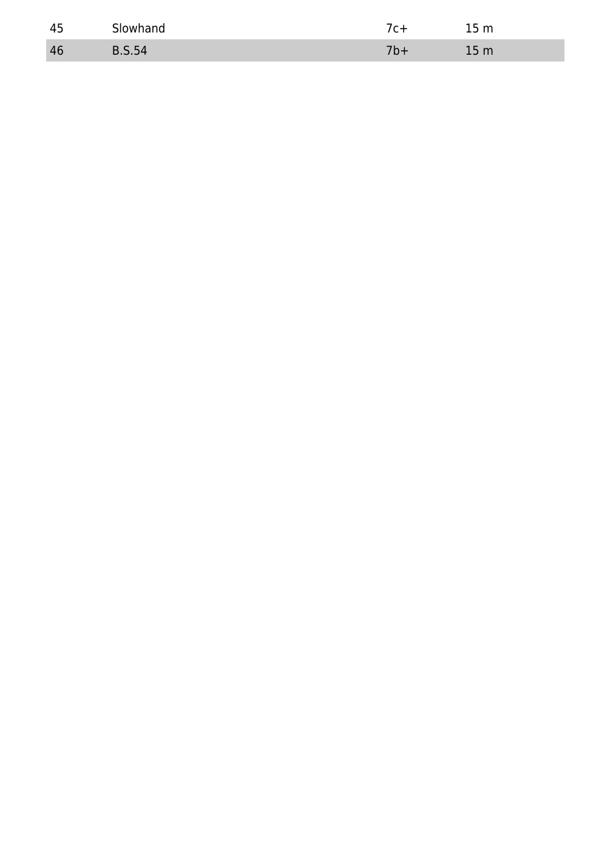| -45 | Slowhand | $\sim$<br>,,,                  |
|-----|----------|--------------------------------|
| 46  | <u>.</u> | 5 <sub>m</sub><br>41 L L<br>-- |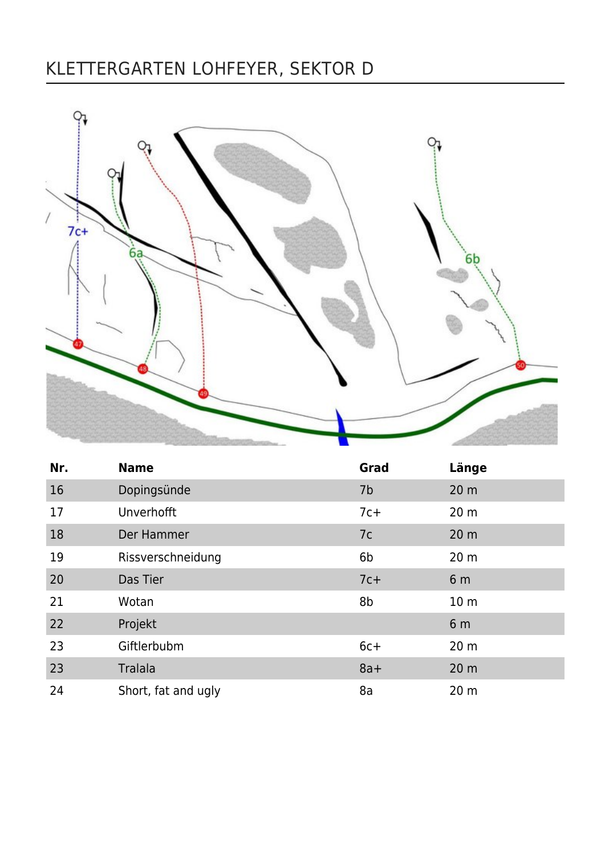### KLETTERGARTEN LOHFEYER, SEKTOR D



| Nr. | <b>Name</b>         | Grad  | Länge           |
|-----|---------------------|-------|-----------------|
| 16  | Dopingsünde         | 7b    | 20 <sub>m</sub> |
| 17  | Unverhofft          | $7c+$ | 20 <sub>m</sub> |
| 18  | Der Hammer          | 7c    | 20 <sub>m</sub> |
| 19  | Rissverschneidung   | 6b    | 20 <sub>m</sub> |
| 20  | Das Tier            | $7c+$ | 6 <sub>m</sub>  |
| 21  | Wotan               | 8b    | 10 <sub>m</sub> |
| 22  | Projekt             |       | 6 <sub>m</sub>  |
| 23  | Giftlerbubm         | $6c+$ | 20 <sub>m</sub> |
| 23  | Tralala             | $8a+$ | 20 <sub>m</sub> |
| 24  | Short, fat and ugly | 8a    | 20 <sub>m</sub> |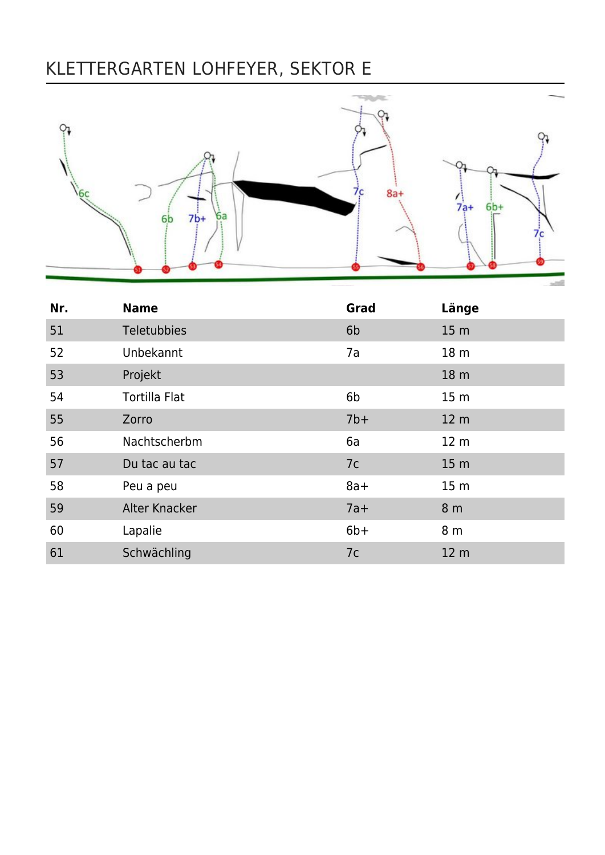## KLETTERGARTEN LOHFEYER, SEKTOR E



| Nr. | <b>Name</b>          | Grad           | Länge           |
|-----|----------------------|----------------|-----------------|
| 51  | Teletubbies          | 6 <sub>b</sub> | 15 <sub>m</sub> |
| 52  | Unbekannt            | 7a             | 18 <sub>m</sub> |
| 53  | Projekt              |                | 18 m            |
| 54  | <b>Tortilla Flat</b> | 6b             | 15 <sub>m</sub> |
| 55  | Zorro                | $7b+$          | 12 <sub>m</sub> |
| 56  | Nachtscherbm         | 6a             | 12 <sub>m</sub> |
| 57  | Du tac au tac        | 7c             | 15 <sub>m</sub> |
| 58  | Peu a peu            | $8a+$          | 15 <sub>m</sub> |
| 59  | <b>Alter Knacker</b> | $7a+$          | 8 <sub>m</sub>  |
| 60  | Lapalie              | $6b+$          | 8 m             |
| 61  | Schwächling          | 7c             | 12 <sub>m</sub> |